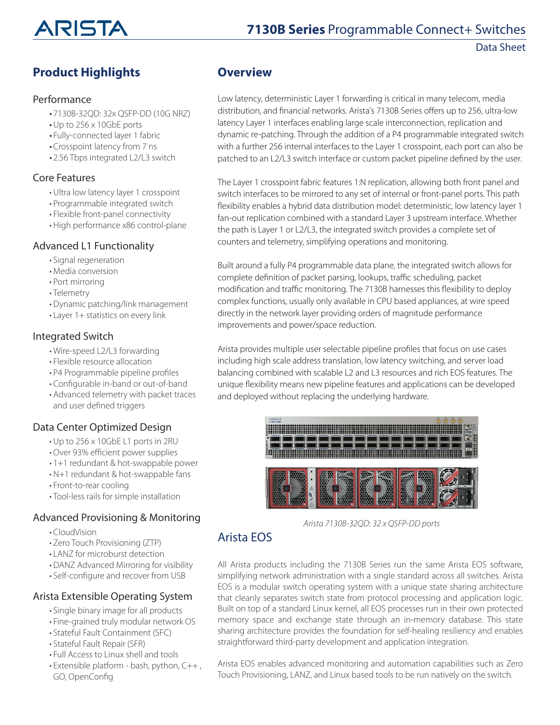

Data Sheet

## **Product Highlights**

#### Performance

- 7130B-32QD: 32x QSFP-DD (10G NRZ)
- •Up to 256 x 10GbE ports
- Fully-connected layer 1 fabric
- Crosspoint latency from 7 ns
- 2.56 Tbps integrated L2/L3 switch

#### Core Features

- Ultra low latency layer 1 crosspoint
- Programmable integrated switch
- Flexible front-panel connectivity
- High performance x86 control-plane

#### Advanced L1 Functionality

- Signal regeneration
- Media conversion
- Port mirroring
- Telemetry
- Dynamic patching/link management
- Layer 1+ statistics on every link

#### Integrated Switch

- Wire-speed L2/L3 forwarding
- Flexible resource allocation
- P4 Programmable pipeline profiles
- Configurable in-band or out-of-band
- Advanced telemetry with packet traces and user defined triggers

#### Data Center Optimized Design

- Up to 256 x 10GbE L1 ports in 2RU
- Over 93% efficient power supplies
- 1+1 redundant & hot-swappable power
- N+1 redundant & hot-swappable fans
- Front-to-rear cooling
- Tool-less rails for simple installation

#### Advanced Provisioning & Monitoring

- CloudVision
- Zero Touch Provisioning (ZTP)
- LANZ for microburst detection
- DANZ Advanced Mirroring for visibility
- Self-configure and recover from USB

#### Arista Extensible Operating System

- Single binary image for all products
- Fine-grained truly modular network OS
- Stateful Fault Containment (SFC)
- Stateful Fault Repair (SFR)
- Full Access to Linux shell and tools
- Extensible platform bash, python, C++ , GO, OpenConfig

## **Overview**

Low latency, deterministic Layer 1 forwarding is critical in many telecom, media distribution, and financial networks. Arista's 7130B Series offers up to 256, ultra-low latency Layer 1 interfaces enabling large scale interconnection, replication and dynamic re-patching. Through the addition of a P4 programmable integrated switch with a further 256 internal interfaces to the Layer 1 crosspoint, each port can also be patched to an L2/L3 switch interface or custom packet pipeline defined by the user.

The Layer 1 crosspoint fabric features 1:N replication, allowing both front panel and switch interfaces to be mirrored to any set of internal or front-panel ports. This path flexibility enables a hybrid data distribution model: deterministic, low latency layer 1 fan-out replication combined with a standard Layer 3 upstream interface. Whether the path is Layer 1 or L2/L3, the integrated switch provides a complete set of counters and telemetry, simplifying operations and monitoring.

Built around a fully P4 programmable data plane, the integrated switch allows for complete definition of packet parsing, lookups, traffic scheduling, packet modification and traffic monitoring. The 7130B harnesses this flexibility to deploy complex functions, usually only available in CPU based appliances, at wire speed directly in the network layer providing orders of magnitude performance improvements and power/space reduction.

Arista provides multiple user selectable pipeline profiles that focus on use cases including high scale address translation, low latency switching, and server load balancing combined with scalable L2 and L3 resources and rich EOS features. The unique flexibility means new pipeline features and applications can be developed and deployed without replacing the underlying hardware.



*Arista 7130B-32QD: 32 x QSFP-DD ports*

## Arista EOS

All Arista products including the 7130B Series run the same Arista EOS software, simplifying network administration with a single standard across all switches. Arista EOS is a modular switch operating system with a unique state sharing architecture that cleanly separates switch state from protocol processing and application logic. Built on top of a standard Linux kernel, all EOS processes run in their own protected memory space and exchange state through an in-memory database. This state sharing architecture provides the foundation for self-healing resiliency and enables straightforward third-party development and application integration.

Arista EOS enables advanced monitoring and automation capabilities such as Zero Touch Provisioning, LANZ, and Linux based tools to be run natively on the switch.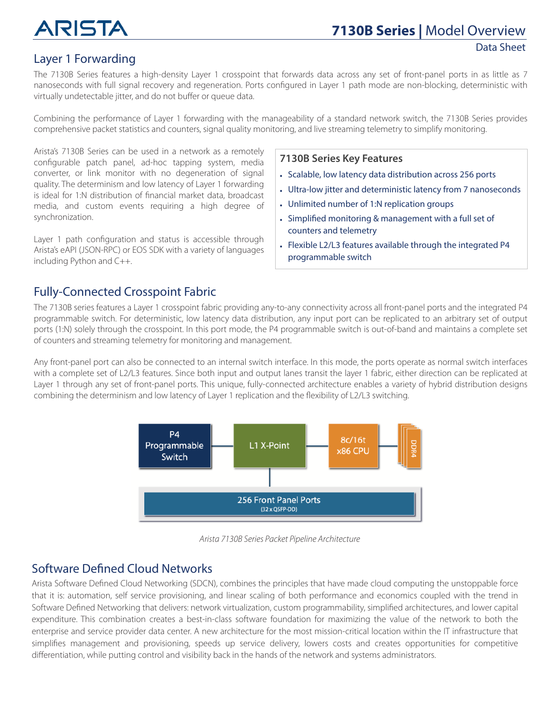## Layer 1 Forwarding

#### The 7130B Series features a high-density Layer 1 crosspoint that forwards data across any set of front-panel ports in as little as 7 nanoseconds with full signal recovery and regeneration. Ports configured in Layer 1 path mode are non-blocking, deterministic with virtually undetectable jitter, and do not buffer or queue data.

Combining the performance of Layer 1 forwarding with the manageability of a standard network switch, the 7130B Series provides comprehensive packet statistics and counters, signal quality monitoring, and live streaming telemetry to simplify monitoring.

Arista's 7130B Series can be used in a network as a remotely configurable patch panel, ad-hoc tapping system, media converter, or link monitor with no degeneration of signal quality. The determinism and low latency of Layer 1 forwarding is ideal for 1:N distribution of financial market data, broadcast media, and custom events requiring a high degree of synchronization.

Layer 1 path configuration and status is accessible through Arista's eAPI (JSON-RPC) or EOS SDK with a variety of languages including Python and C++.

#### **7130B Series Key Features**

- Scalable, low latency data distribution across 256 ports
- Ultra-low jitter and deterministic latency from 7 nanoseconds
- Unlimited number of 1:N replication groups
- Simplified monitoring & management with a full set of counters and telemetry
- Flexible L2/L3 features available through the integrated P4 programmable switch

## Fully-Connected Crosspoint Fabric

The 7130B series features a Layer 1 crosspoint fabric providing any-to-any connectivity across all front-panel ports and the integrated P4 programmable switch. For deterministic, low latency data distribution, any input port can be replicated to an arbitrary set of output ports (1:N) solely through the crosspoint. In this port mode, the P4 programmable switch is out-of-band and maintains a complete set of counters and streaming telemetry for monitoring and management.

Any front-panel port can also be connected to an internal switch interface. In this mode, the ports operate as normal switch interfaces with a complete set of L2/L3 features. Since both input and output lanes transit the layer 1 fabric, either direction can be replicated at Layer 1 through any set of front-panel ports. This unique, fully-connected architecture enables a variety of hybrid distribution designs combining the determinism and low latency of Layer 1 replication and the flexibility of L2/L3 switching.



*Arista 7130B Series Packet Pipeline Architecture*

## Software Defined Cloud Networks

Arista Software Defined Cloud Networking (SDCN), combines the principles that have made cloud computing the unstoppable force that it is: automation, self service provisioning, and linear scaling of both performance and economics coupled with the trend in Software Defined Networking that delivers: network virtualization, custom programmability, simplified architectures, and lower capital expenditure. This combination creates a best-in-class software foundation for maximizing the value of the network to both the enterprise and service provider data center. A new architecture for the most mission-critical location within the IT infrastructure that simplifies management and provisioning, speeds up service delivery, lowers costs and creates opportunities for competitive differentiation, while putting control and visibility back in the hands of the network and systems administrators.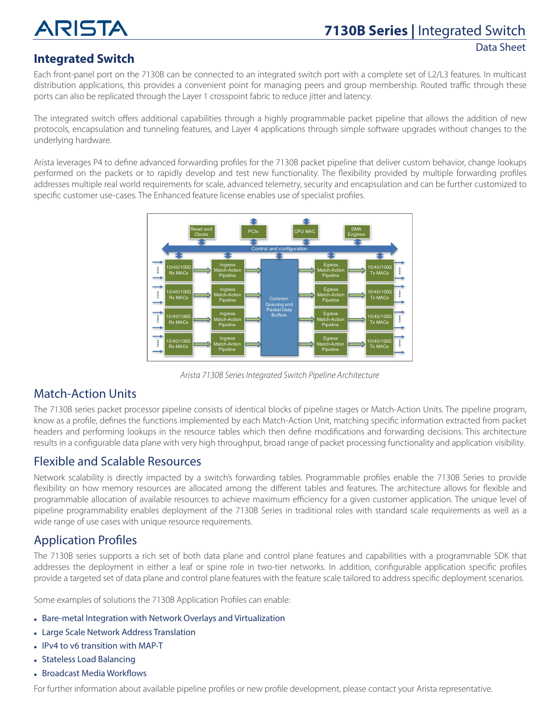

## **Integrated Switch**

Each front-panel port on the 7130B can be connected to an integrated switch port with a complete set of L2/L3 features. In multicast distribution applications, this provides a convenient point for managing peers and group membership. Routed traffic through these ports can also be replicated through the Layer 1 crosspoint fabric to reduce jitter and latency.

The integrated switch offers additional capabilities through a highly programmable packet pipeline that allows the addition of new protocols, encapsulation and tunneling features, and Layer 4 applications through simple software upgrades without changes to the underlying hardware.

Arista leverages P4 to define advanced forwarding profiles for the 7130B packet pipeline that deliver custom behavior, change lookups performed on the packets or to rapidly develop and test new functionality. The flexibility provided by multiple forwarding profiles addresses multiple real world requirements for scale, advanced telemetry, security and encapsulation and can be further customized to specific customer use-cases. The Enhanced feature license enables use of specialist profiles.



*Arista 7130B Series Integrated Switch Pipeline Architecture*

## Match-Action Units

The 7130B series packet processor pipeline consists of identical blocks of pipeline stages or Match-Action Units. The pipeline program, know as a profile, defines the functions implemented by each Match-Action Unit, matching specific information extracted from packet headers and performing lookups in the resource tables which then define modifications and forwarding decisions. This architecture results in a configurable data plane with very high throughput, broad range of packet processing functionality and application visibility.

## Flexible and Scalable Resources

Network scalability is directly impacted by a switch's forwarding tables. Programmable profiles enable the 7130B Series to provide flexibility on how memory resources are allocated among the different tables and features. The architecture allows for flexible and programmable allocation of available resources to achieve maximum efficiency for a given customer application. The unique level of pipeline programmability enables deployment of the 7130B Series in traditional roles with standard scale requirements as well as a wide range of use cases with unique resource requirements.

## Application Profiles

The 7130B series supports a rich set of both data plane and control plane features and capabilities with a programmable SDK that addresses the deployment in either a leaf or spine role in two-tier networks. In addition, configurable application specific profiles provide a targeted set of data plane and control plane features with the feature scale tailored to address specific deployment scenarios.

Some examples of solutions the 7130B Application Profiles can enable:

- **•** Bare-metal Integration with Network Overlays and Virtualization
- **•** Large Scale Network Address Translation
- **•** IPv4 to v6 transition with MAP-T
- **•** Stateless Load Balancing
- **•** Broadcast Media Workflows

For further information about available pipeline profiles or new profile development, please contact your Arista representative.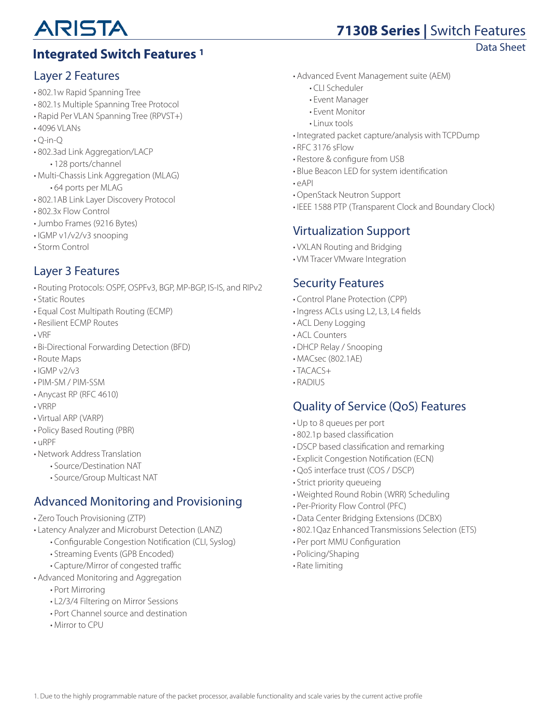## **Integrated Switch Features 1** and **Integrated Switch Features 1** and **Integrated Switch Features 1**

## Layer 2 Features

- 802.1w Rapid Spanning Tree
- 802.1s Multiple Spanning Tree Protocol
- Rapid Per VLAN Spanning Tree (RPVST+)
- 4096 VLANs
- $\cdot$  O-in-O
- 802.3ad Link Aggregation/LACP • 128 ports/channel
- Multi-Chassis Link Aggregation (MLAG) • 64 ports per MLAG
- 802.1AB Link Layer Discovery Protocol
- 802.3x Flow Control
- Jumbo Frames (9216 Bytes)
- IGMP v1/v2/v3 snooping
- Storm Control

## Layer 3 Features

- Routing Protocols: OSPF, OSPFv3, BGP, MP-BGP, IS-IS, and RIPv2
- Static Routes
- Equal Cost Multipath Routing (ECMP)
- Resilient ECMP Routes
- VRF
- Bi-Directional Forwarding Detection (BFD)
- Route Maps
- $\cdot$  IGMP  $v2/v3$
- PIM-SM / PIM-SSM
- Anycast RP (RFC 4610)
- VRRP
- Virtual ARP (VARP)
- Policy Based Routing (PBR)
- uRPF
- Network Address Translation
	- Source/Destination NAT
	- Source/Group Multicast NAT

## Advanced Monitoring and Provisioning

- Zero Touch Provisioning (ZTP)
- Latency Analyzer and Microburst Detection (LANZ)
	- Configurable Congestion Notification (CLI, Syslog)
	- Streaming Events (GPB Encoded)
	- Capture/Mirror of congested traffic
- Advanced Monitoring and Aggregation
	- Port Mirroring
	- L2/3/4 Filtering on Mirror Sessions
	- Port Channel source and destination
	- Mirror to CPU
- Advanced Event Management suite (AEM)
	- CLI Scheduler
	- Event Manager
	- Event Monitor
	- Linux tools
- Integrated packet capture/analysis with TCPDump
- RFC 3176 sFlow
- Restore & configure from USB
- Blue Beacon LED for system identification
- eAPI
- OpenStack Neutron Support
- IEEE 1588 PTP (Transparent Clock and Boundary Clock)

## Virtualization Support

- VXLAN Routing and Bridging
- VM Tracer VMware Integration

## Security Features

- Control Plane Protection (CPP)
- Ingress ACLs using L2, L3, L4 fields
- ACL Deny Logging
- ACL Counters
- DHCP Relay / Snooping
- MACsec (802.1AE)
- $\cdot$ TACACS+
- RADIUS

## Quality of Service (QoS) Features

- Up to 8 queues per port
- 802.1p based classification
- DSCP based classification and remarking
- Explicit Congestion Notification (ECN)
- QoS interface trust (COS / DSCP)
- Strict priority queueing
- Weighted Round Robin (WRR) Scheduling
- Per-Priority Flow Control (PFC)
- Data Center Bridging Extensions (DCBX)
- 802.1Qaz Enhanced Transmissions Selection (ETS)
- Per port MMU Configuration
- Policing/Shaping
- Rate limiting

**7130B Series |** Switch Features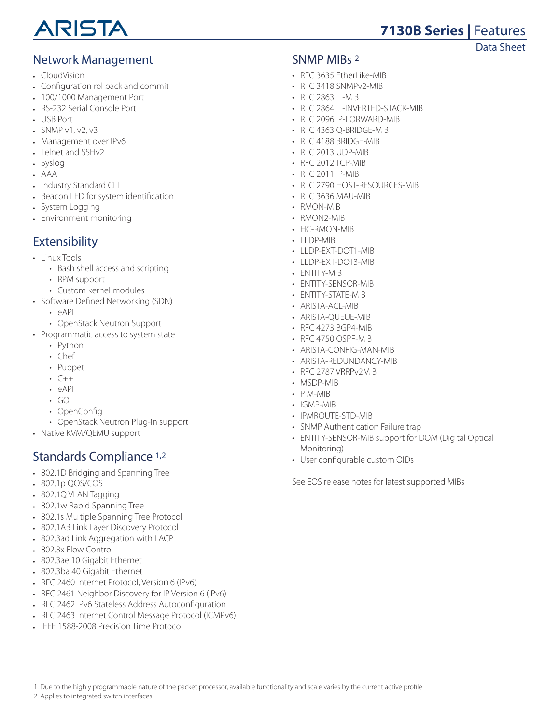

## **7130B Series |** Features

#### Data Sheet

## Network Management

- CloudVision
- Configuration rollback and commit
- 100/1000 Management Port
- RS-232 Serial Console Port
- USB Port
- SNMP v1, v2, v3
- Management over IPv6
- Telnet and SSHv2
- Syslog
- AAA
- Industry Standard CLI
- Beacon LED for system identification
- System Logging
- Environment monitoring

#### Extensibility

- Linux Tools
	- Bash shell access and scripting
	- RPM support
	- Custom kernel modules
- Software Defined Networking (SDN)
	- eAPI
	- OpenStack Neutron Support
- Programmatic access to system state
	- Python
	- Chef
	- Puppet
	- $C++$
	- eAPI
	- $\cdot$  GO
	- OpenConfig
	- OpenStack Neutron Plug-in support
- Native KVM/QEMU support

## Standards Compliance 1,2

- 802.1D Bridging and Spanning Tree
- 802.1p QOS/COS
- 802.1Q VLAN Tagging
- 802.1w Rapid Spanning Tree
- 802.1s Multiple Spanning Tree Protocol
- 802.1AB Link Layer Discovery Protocol
- 802.3ad Link Aggregation with LACP
- 802.3x Flow Control
- 802.3ae 10 Gigabit Ethernet
- 802.3ba 40 Gigabit Ethernet
- RFC 2460 Internet Protocol, Version 6 (IPv6)
- RFC 2461 Neighbor Discovery for IP Version 6 (IPv6)
- RFC 2462 IPv6 Stateless Address Autoconfiguration
- RFC 2463 Internet Control Message Protocol (ICMPv6)
- IEEE 1588-2008 Precision Time Protocol

#### SNMP MIBs 2

- RFC 3635 EtherLike-MIB
- RFC 3418 SNMPv2-MIB
- RFC 2863 IF-MIB
- RFC 2864 IF-INVERTED-STACK-MIB
- RFC 2096 IP-FORWARD-MIB
- RFC 4363 Q-BRIDGE-MIB
- RFC 4188 BRIDGE-MIB
- RFC 2013 UDP-MIB
- RFC 2012 TCP-MIR
- RFC 2011 IP-MIB
- RFC 2790 HOST-RESOURCES-MIB
- RFC 3636 MAU-MIB
- RMON-MIB
- RMON2-MIB
- HC-RMON-MIB
- $\cdot$  LLDP-MIB
- LLDP-EXT-DOT1-MIB
- LLDP-EXT-DOT3-MIB
- ENTITY-MIB
- ENTITY-SENSOR-MIB
- ENTITY-STATE-MIB
- ARISTA-ACL-MIB
- ARISTA-QUEUE-MIB
- RFC 4273 BGP4-MIB
- RFC 4750 OSPF-MIB
- ARISTA-CONFIG-MAN-MIB
- ARISTA-REDUNDANCY-MIB
- RFC 2787 VRRPv2MIB
- MSDP-MIB
- PIM-MIB
- IGMP-MIB
- IPMROUTE-STD-MIB
- SNMP Authentication Failure trap
- ENTITY-SENSOR-MIB support for DOM (Digital Optical Monitoring)
- User configurable custom OIDs

See EOS release notes for latest supported MIBs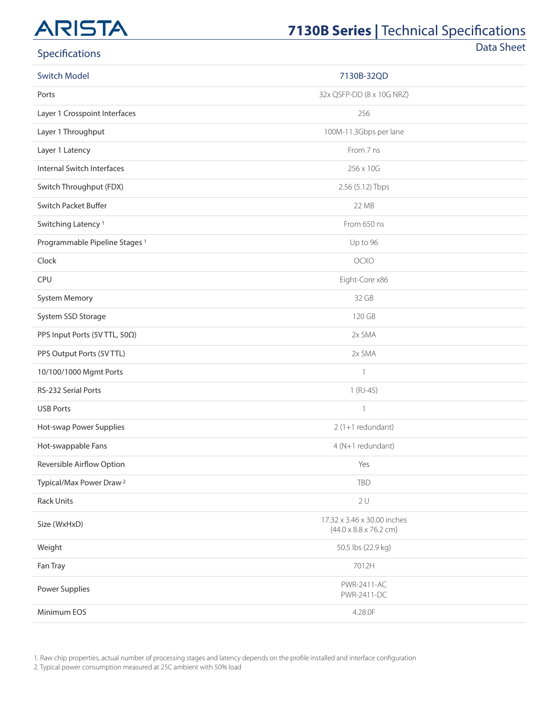## **7130B Series | Technical Specifications**

Data Sheet

| Specifications                            |                                                                   | Data Shee |
|-------------------------------------------|-------------------------------------------------------------------|-----------|
| <b>Switch Model</b>                       | 7130B-32QD                                                        |           |
| Ports                                     | 32x QSFP-DD (8 x 10G NRZ)                                         |           |
| Layer 1 Crosspoint Interfaces             | 256                                                               |           |
| Layer 1 Throughput                        | 100M-11.3Gbps per lane                                            |           |
| Layer 1 Latency                           | From 7 ns                                                         |           |
| Internal Switch Interfaces                | 256 x 10G                                                         |           |
| Switch Throughput (FDX)                   | 2.56 (5.12) Tbps                                                  |           |
| Switch Packet Buffer                      | 22 MB                                                             |           |
| Switching Latency <sup>1</sup>            | From 650 ns                                                       |           |
| Programmable Pipeline Stages <sup>1</sup> | Up to 96                                                          |           |
| Clock                                     | <b>OCXO</b>                                                       |           |
| CPU                                       | Eight-Core x86                                                    |           |
| System Memory                             | 32 GB                                                             |           |
| System SSD Storage                        | 120 GB                                                            |           |
| PPS Input Ports (5V TTL, 500)             | 2x SMA                                                            |           |
| PPS Output Ports (5V TTL)                 | 2x SMA                                                            |           |
| 10/100/1000 Mgmt Ports                    | $\mathbf{1}$                                                      |           |
| RS-232 Serial Ports                       | $1(RJ-45)$                                                        |           |
| <b>USB Ports</b>                          | $\mathbf{1}$                                                      |           |
| Hot-swap Power Supplies                   | $2(1+1$ redundant)                                                |           |
| Hot-swappable Fans                        | 4 (N+1 redundant)                                                 |           |
| Reversible Airflow Option                 | Yes                                                               |           |
| Typical/Max Power Draw <sup>2</sup>       | <b>TBD</b>                                                        |           |
| <b>Rack Units</b>                         | 2U                                                                |           |
| Size (WxHxD)                              | 17.32 x 3.46 x 30.00 inches<br>$(44.0 \times 8.8 \times 76.2$ cm) |           |
| Weight                                    | 50.5 lbs (22.9 kg)                                                |           |
| Fan Tray                                  | 7012H                                                             |           |
| Power Supplies                            | <b>PWR-2411-AC</b><br>PWR-2411-DC                                 |           |
| Minimum EOS                               | 4.28.0F                                                           |           |

1. Raw chip properties, actual number of processing stages and latency depends on the profile installed and interface configuration

2. Typical power consumption measured at 25C ambient with 50% load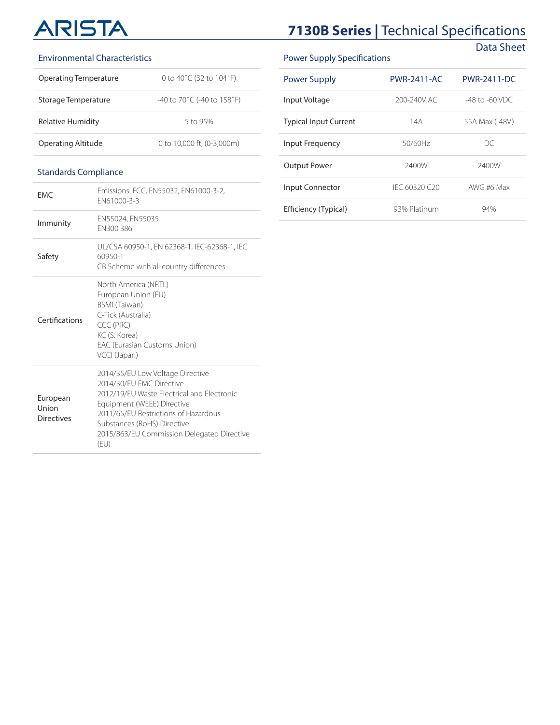## **7130B Series | Technical Specifications** Data Sheet

#### Environmental Characteristics

| Operating Temperature | 0 to 40°C (32 to 104°F)                          |
|-----------------------|--------------------------------------------------|
| Storage Temperature   | -40 to 70 $^{\circ}$ C (-40 to 158 $^{\circ}$ F) |
| Relative Humidity     | 5 to 95%                                         |
| Operating Altitude    | 0 to 10,000 ft. (0-3,000m)                       |

#### Standards Compliance

| <b>FMC</b>                             | Emissions: FCC, EN55032, EN61000-3-2,<br>FN61000-3-3                                                                                                                                                                                                                  |
|----------------------------------------|-----------------------------------------------------------------------------------------------------------------------------------------------------------------------------------------------------------------------------------------------------------------------|
| Immunity                               | EN55024, EN55035<br>EN300 386                                                                                                                                                                                                                                         |
| Safety                                 | UL/CSA 60950-1, EN 62368-1, IEC-62368-1, IEC<br>60950-1<br>CB Scheme with all country differences                                                                                                                                                                     |
| Certifications                         | North America (NRTL)<br>European Union (EU)<br><b>BSMI</b> (Taiwan)<br>C-Tick (Australia)<br>CCC (PRC)<br>KC (S. Korea)<br><b>EAC (Eurasian Customs Union)</b><br>VCCI (Japan)                                                                                        |
| European<br>Union<br><b>Directives</b> | 2014/35/EU Low Voltage Directive<br>2014/30/FU FMC Directive<br>2012/19/FU Waste Flectrical and Flectronic<br>Equipment (WEEE) Directive<br>2011/65/FU Restrictions of Hazardous<br>Substances (RoHS) Directive<br>2015/863/EU Commission Delegated Directive<br>(EU) |

#### Power Supply Specifications

| <b>Power Supply</b>          | <b>PWR-2411-AC</b> | <b>PWR-2411-DC</b>  |
|------------------------------|--------------------|---------------------|
| Input Voltage                | 200-240V AC        | $-48$ to $-60$ VDC. |
| <b>Typical Input Current</b> | 14A                | 55A Max (-48V)      |
| <b>Input Frequency</b>       | 50/60Hz            | DC.                 |
| Output Power                 | 2400W              | 2400W               |
| <b>Input Connector</b>       | IFC 60320 C20      | AWG #6 Max          |
| Efficiency (Typical)         | 93% Platinum       | 94%                 |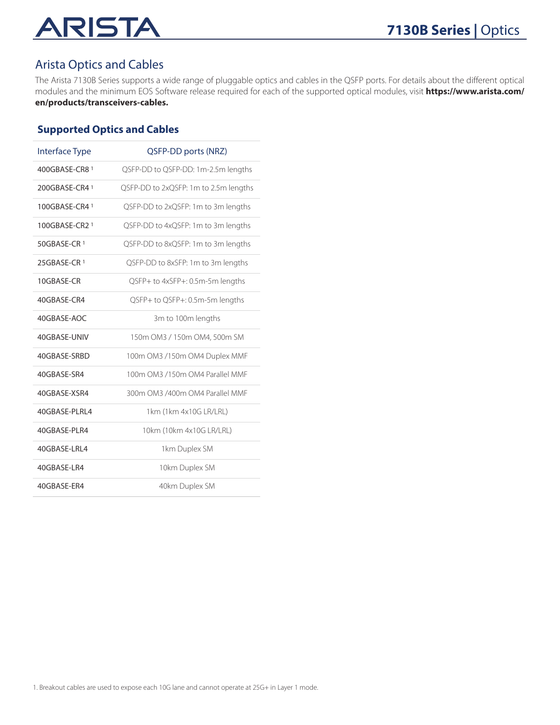## RISTA AI

## Arista Optics and Cables

The Arista 7130B Series supports a wide range of pluggable optics and cables in the QSFP ports. For details about the different optical modules and the minimum EOS Software release required for each of the supported optical modules, visit **[https://www.arista.com/](https://www.arista.com/en/products/transceivers-cables) [en/products/transceivers-cables.](https://www.arista.com/en/products/transceivers-cables)**

#### **Supported Optics and Cables**

| <b>Interface Type</b> | QSFP-DD ports (NRZ)                   |
|-----------------------|---------------------------------------|
| 400GBASE-CR8 1        | QSFP-DD to QSFP-DD: 1m-2.5m lengths   |
| 200GBASE-CR4 1        | QSFP-DD to 2xQSFP: 1m to 2.5m lengths |
| 100GBASE-CR4 1        | QSFP-DD to 2xQSFP: 1m to 3m lengths   |
| 100GBASE-CR2 1        | QSFP-DD to 4xQSFP: 1m to 3m lengths   |
| 50GBASE-CR 1          | QSFP-DD to 8xQSFP: 1m to 3m lengths   |
| 25GBASE-CR 1          | QSFP-DD to 8xSFP: 1m to 3m lengths    |
| 10GBASE-CR            | QSFP+ to 4xSFP+: 0.5m-5m lengths      |
| 40GBASE-CR4           | QSFP+ to QSFP+: 0.5m-5m lengths       |
| 40GBASE-AOC           | 3m to 100m lengths                    |
| 40GBASE-UNIV          | 150m OM3 / 150m OM4, 500m SM          |
| 40GBASE-SRBD          | 100m OM3 /150m OM4 Duplex MMF         |
| 40GBASE-SR4           | 100m OM3 /150m OM4 Parallel MMF       |
| 40GBASE-XSR4          | 300m OM3 /400m OM4 Parallel MMF       |
| 40GBASE-PLRL4         | 1km (1km 4x10G LR/LRL)                |
| 40GBASE-PLR4          | 10km (10km 4x10G LR/LRL)              |
| 40GBASE-LRL4          | 1km Duplex SM                         |
| 40GBASE-LR4           | 10km Duplex SM                        |
| 40GBASE-ER4           | 40km Duplex SM                        |